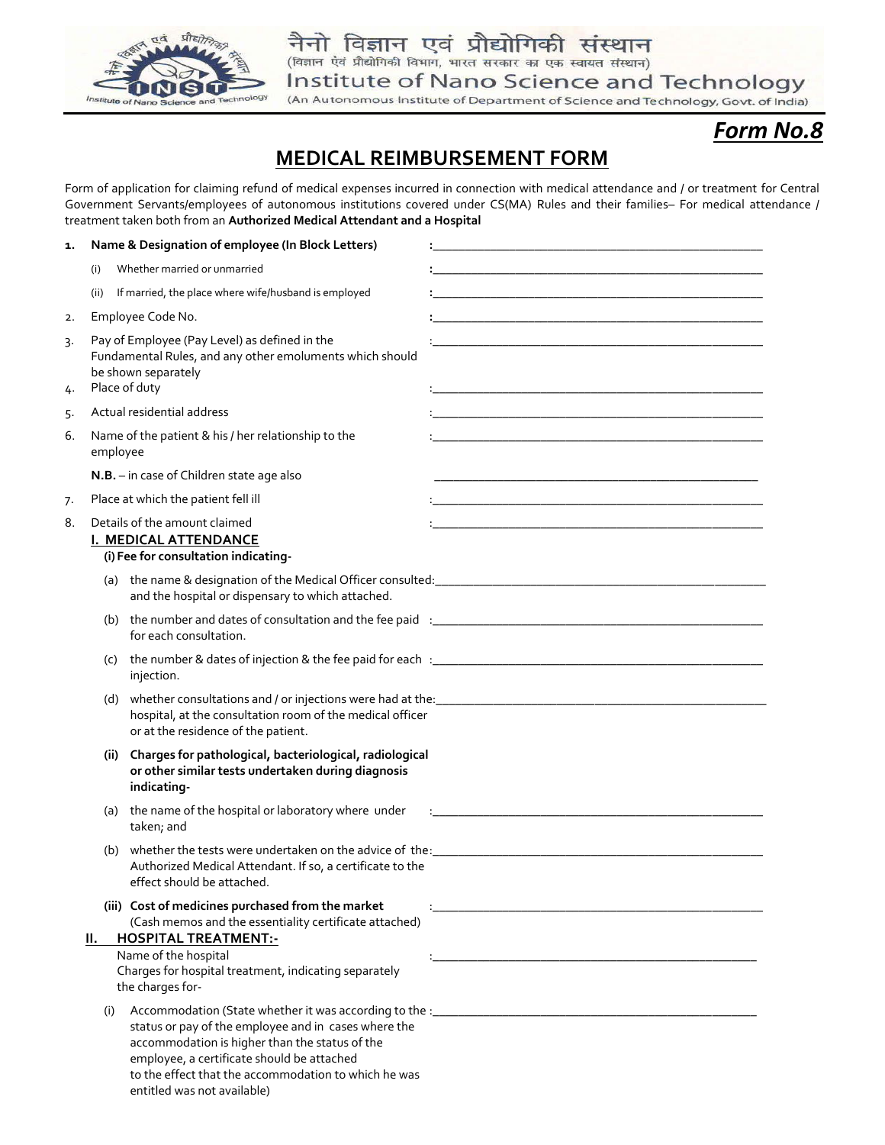

(An Autonomous Institute of Department of Science and Technology, Govt. of India)

# *Form No.8*

## **MEDICAL REIMBURSEMENT FORM**

Form of application for claiming refund of medical expenses incurred in connection with medical attendance and / or treatment for Central Government Servants/employees of autonomous institutions covered under CS(MA) Rules and their families– For medical attendance / treatment taken both from an **Authorized Medical Attendant and a Hospital** 

| 1.       | Name & Designation of employee (In Block Letters)                                                                                                 |                                                                                                                                                                                                                                                 |                                                                                                                       |
|----------|---------------------------------------------------------------------------------------------------------------------------------------------------|-------------------------------------------------------------------------------------------------------------------------------------------------------------------------------------------------------------------------------------------------|-----------------------------------------------------------------------------------------------------------------------|
|          | Whether married or unmarried<br>(i)                                                                                                               |                                                                                                                                                                                                                                                 |                                                                                                                       |
|          | (ii)                                                                                                                                              | If married, the place where wife/husband is employed                                                                                                                                                                                            |                                                                                                                       |
| 2.       |                                                                                                                                                   | Employee Code No.                                                                                                                                                                                                                               | <u> 1980 - Johann Barbara, martxa alemaniar arg</u>                                                                   |
| 3.<br>4. | Pay of Employee (Pay Level) as defined in the<br>Fundamental Rules, and any other emoluments which should<br>be shown separately<br>Place of duty |                                                                                                                                                                                                                                                 | <u> 1989 - Johann Stoff, deutscher Stoff, der Stoff, der Stoff, der Stoff, der Stoff, der Stoff, der Stoff, der S</u> |
| 5.       |                                                                                                                                                   | Actual residential address                                                                                                                                                                                                                      | <u> 1989 - Johann Stein, marwolaethau a bhann an t-Amhair ann an t-Amhair an t-Amhair an t-Amhair an t-Amhair an</u>  |
| 6.       | employee                                                                                                                                          | Name of the patient & his / her relationship to the                                                                                                                                                                                             | <u> 1980 - Johann Barn, mars and de Brasilian (b. 1980)</u>                                                           |
|          |                                                                                                                                                   | N.B. - in case of Children state age also                                                                                                                                                                                                       |                                                                                                                       |
| 7.       |                                                                                                                                                   | Place at which the patient fell ill                                                                                                                                                                                                             |                                                                                                                       |
| 8.       | Details of the amount claimed<br>I. MEDICAL ATTENDANCE<br>(i) Fee for consultation indicating-                                                    |                                                                                                                                                                                                                                                 | <u> 1980 - Johann Barn, mars ann an t-Amhain an t-Amhain an t-Amhain an t-Amhain an t-Amhain an t-Amhain an t-Amh</u> |
|          |                                                                                                                                                   | and the hospital or dispensary to which attached.                                                                                                                                                                                               |                                                                                                                       |
|          |                                                                                                                                                   | for each consultation.                                                                                                                                                                                                                          |                                                                                                                       |
|          | (C)                                                                                                                                               | injection.                                                                                                                                                                                                                                      |                                                                                                                       |
|          |                                                                                                                                                   | hospital, at the consultation room of the medical officer<br>or at the residence of the patient.                                                                                                                                                |                                                                                                                       |
|          | (ii)                                                                                                                                              | Charges for pathological, bacteriological, radiological<br>or other similar tests undertaken during diagnosis<br>indicating-                                                                                                                    |                                                                                                                       |
|          |                                                                                                                                                   | (a) the name of the hospital or laboratory where under<br>taken; and                                                                                                                                                                            |                                                                                                                       |
|          | (b)                                                                                                                                               | Authorized Medical Attendant. If so, a certificate to the<br>effect should be attached.                                                                                                                                                         |                                                                                                                       |
|          | II. –<br>(i)                                                                                                                                      | (iii) Cost of medicines purchased from the market<br>(Cash memos and the essentiality certificate attached)<br><b>HOSPITAL TREATMENT:-</b><br>Name of the hospital<br>Charges for hospital treatment, indicating separately<br>the charges for- |                                                                                                                       |
|          |                                                                                                                                                   | status or pay of the employee and in cases where the<br>accommodation is higher than the status of the<br>employee, a certificate should be attached<br>to the effect that the accommodation to which he was<br>entitled was not available)     |                                                                                                                       |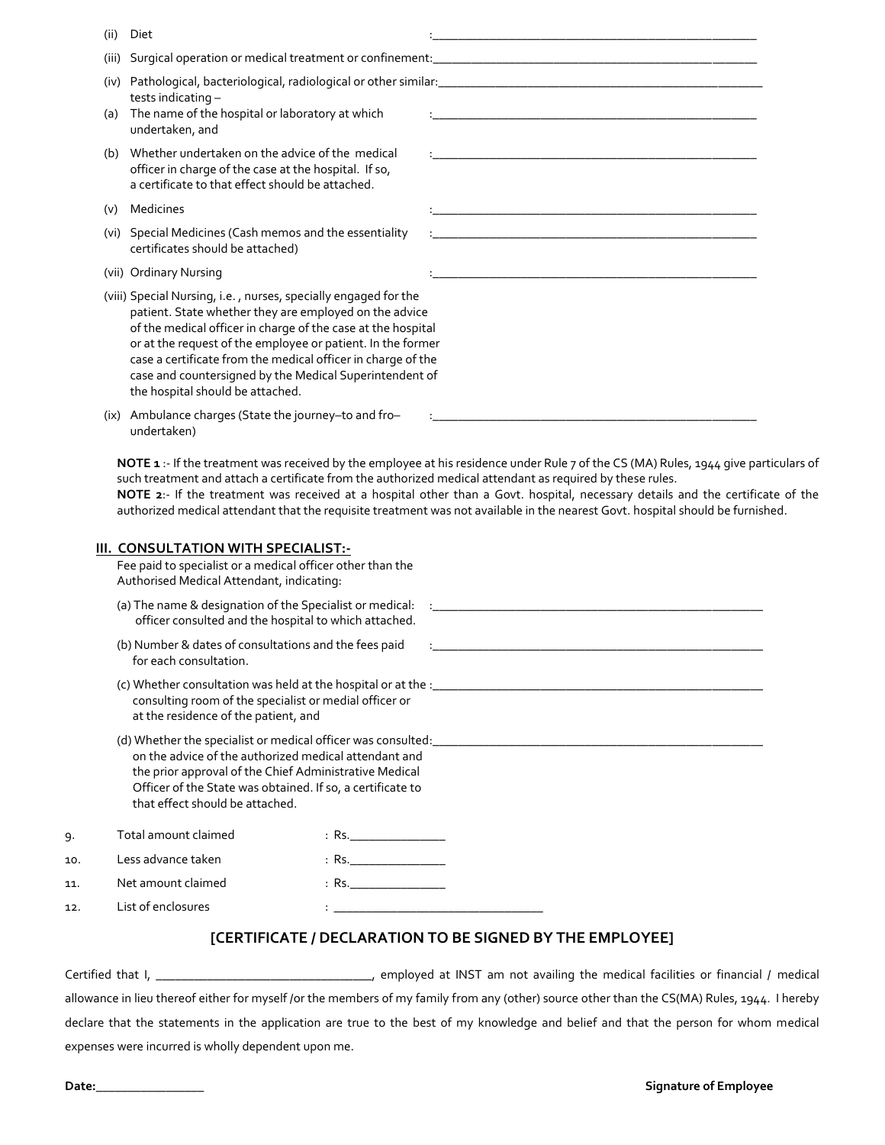- (ii) Diet :\_\_\_\_\_\_\_\_\_\_\_\_\_\_\_\_\_\_\_\_\_\_\_\_\_\_\_\_\_\_\_\_\_\_\_\_\_\_\_\_\_\_\_\_\_\_\_\_\_\_\_
- (iii) Surgical operation or medical treatment or confinement:
- (iv) Pathological, bacteriological, radiological or other similar: tests indicating –
- (a) The name of the hospital or laboratory at which undertaken, and
- (b) Whether undertaken on the advice of the medical officer in charge of the case at the hospital. If so, a certificate to that effect should be attached.
- (v) Medicines
- (vi) Special Medicines (Cash memos and the essentiality certificates should be attached)
- (vii) Ordinary Nursing
- (viii) Special Nursing, i.e. , nurses, specially engaged for the patient. State whether they are employed on the advice of the medical officer in charge of the case at the hospital or at the request of the employee or patient. In the former case a certificate from the medical officer in charge of the case and countersigned by the Medical Superintendent of the hospital should be attached.

| (ix) Ambulance charges (State the journey-to and fro- |  |
|-------------------------------------------------------|--|
| undertaken)                                           |  |
|                                                       |  |

**NOTE 1** :- If the treatment was received by the employee at his residence under Rule 7 of the CS (MA) Rules, 1944 give particulars of such treatment and attach a certificate from the authorized medical attendant as required by these rules.

**NOTE 2**:- If the treatment was received at a hospital other than a Govt. hospital, necessary details and the certificate of the authorized medical attendant that the requisite treatment was not available in the nearest Govt. hospital should be furnished.

|     | III. CONSULTATION WITH SPECIALIST:-<br>Fee paid to specialist or a medical officer other than the<br>Authorised Medical Attendant, indicating: |                                                                                                                                                                               |  |
|-----|------------------------------------------------------------------------------------------------------------------------------------------------|-------------------------------------------------------------------------------------------------------------------------------------------------------------------------------|--|
|     | (a) The name & designation of the Specialist or medical: :_____________<br>officer consulted and the hospital to which attached.               |                                                                                                                                                                               |  |
|     | (b) Number & dates of consultations and the fees paid<br>for each consultation.                                                                |                                                                                                                                                                               |  |
|     | consulting room of the specialist or medial officer or<br>at the residence of the patient, and                                                 |                                                                                                                                                                               |  |
|     | that effect should be attached.                                                                                                                | on the advice of the authorized medical attendant and<br>the prior approval of the Chief Administrative Medical<br>Officer of the State was obtained. If so, a certificate to |  |
| 9.  | Total amount claimed                                                                                                                           | : Rs.___________________                                                                                                                                                      |  |
| 10. | Less advance taken                                                                                                                             | : Rs. __________________                                                                                                                                                      |  |
| 11. | Net amount claimed                                                                                                                             | $R$ Rs.                                                                                                                                                                       |  |
| 12. | List of enclosures                                                                                                                             |                                                                                                                                                                               |  |

### **[CERTIFICATE / DECLARATION TO BE SIGNED BY THE EMPLOYEE]**

Certified that I, \_\_\_\_\_\_\_\_\_\_\_\_\_\_\_\_\_\_\_\_\_\_\_\_\_\_\_\_\_\_\_\_\_\_, employed at INST am not availing the medical facilities or financial / medical allowance in lieu thereof either for myself /or the members of my family from any (other) source other than the CS(MA) Rules, 1944. I hereby declare that the statements in the application are true to the best of my knowledge and belief and that the person for whom medical expenses were incurred is wholly dependent upon me.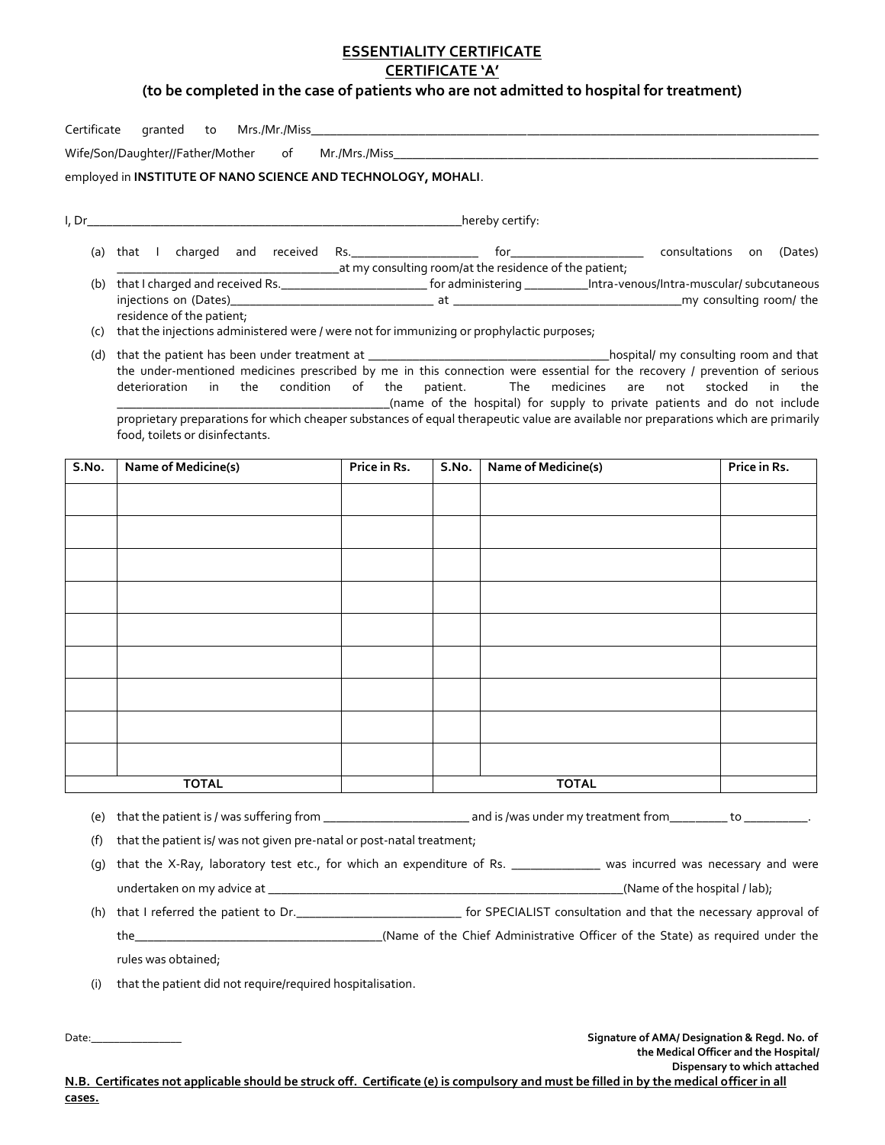## **ESSENTIALITY CERTIFICATE**

## **CERTIFICATE 'A'**

### **(to be completed in the case of patients who are not admitted to hospital for treatment)**

| Certificate |                                                                                                                                                                                                                                                                                         |              |          |                            |                       |  |  |  |
|-------------|-----------------------------------------------------------------------------------------------------------------------------------------------------------------------------------------------------------------------------------------------------------------------------------------|--------------|----------|----------------------------|-----------------------|--|--|--|
|             |                                                                                                                                                                                                                                                                                         |              |          |                            |                       |  |  |  |
|             | employed in INSTITUTE OF NANO SCIENCE AND TECHNOLOGY, MOHALI.                                                                                                                                                                                                                           |              |          |                            |                       |  |  |  |
|             |                                                                                                                                                                                                                                                                                         |              |          |                            |                       |  |  |  |
|             |                                                                                                                                                                                                                                                                                         |              |          |                            |                       |  |  |  |
|             |                                                                                                                                                                                                                                                                                         |              |          |                            | (Dates)               |  |  |  |
|             | at my consulting room/at the residence of the patient;<br>(b) that I charged and received Rs. _______________________________for administering ____________Intra-venous/Intra-muscular/ subcutaneous                                                                                    |              |          |                            |                       |  |  |  |
|             |                                                                                                                                                                                                                                                                                         |              |          |                            |                       |  |  |  |
|             | residence of the patient;<br>(c) that the injections administered were / were not for immunizing or prophylactic purposes;                                                                                                                                                              |              |          |                            |                       |  |  |  |
|             |                                                                                                                                                                                                                                                                                         |              |          |                            |                       |  |  |  |
|             | the under-mentioned medicines prescribed by me in this connection were essential for the recovery / prevention of serious                                                                                                                                                               |              |          |                            |                       |  |  |  |
|             | deterioration in the condition of the                                                                                                                                                                                                                                                   |              | patient. | medicines<br>are<br>The    | not stocked<br>in the |  |  |  |
|             | name of the hospital) for supply to private patients and do not include (name of the hospital) for supply to private patients and do not include<br>proprietary preparations for which cheaper substances of equal therapeutic value are available nor preparations which are primarily |              |          |                            |                       |  |  |  |
|             | food, toilets or disinfectants.                                                                                                                                                                                                                                                         |              |          |                            |                       |  |  |  |
| S.No.       | <b>Name of Medicine(s)</b>                                                                                                                                                                                                                                                              | Price in Rs. | S.No.    | <b>Name of Medicine(s)</b> | Price in Rs.          |  |  |  |
|             |                                                                                                                                                                                                                                                                                         |              |          |                            |                       |  |  |  |
|             |                                                                                                                                                                                                                                                                                         |              |          |                            |                       |  |  |  |
|             |                                                                                                                                                                                                                                                                                         |              |          |                            |                       |  |  |  |
|             |                                                                                                                                                                                                                                                                                         |              |          |                            |                       |  |  |  |
|             |                                                                                                                                                                                                                                                                                         |              |          |                            |                       |  |  |  |
|             |                                                                                                                                                                                                                                                                                         |              |          |                            |                       |  |  |  |
|             |                                                                                                                                                                                                                                                                                         |              |          |                            |                       |  |  |  |
|             |                                                                                                                                                                                                                                                                                         |              |          |                            |                       |  |  |  |
|             |                                                                                                                                                                                                                                                                                         |              |          |                            |                       |  |  |  |
|             |                                                                                                                                                                                                                                                                                         |              |          |                            |                       |  |  |  |
|             |                                                                                                                                                                                                                                                                                         |              |          |                            |                       |  |  |  |
|             |                                                                                                                                                                                                                                                                                         |              |          |                            |                       |  |  |  |
|             | <b>TOTAL</b>                                                                                                                                                                                                                                                                            |              |          | <b>TOTAL</b>               |                       |  |  |  |
|             |                                                                                                                                                                                                                                                                                         |              |          |                            |                       |  |  |  |
|             |                                                                                                                                                                                                                                                                                         |              |          |                            |                       |  |  |  |

(f) that the patient is/ was not given pre-natal or post-natal treatment;

(g) that the X-Ray, laboratory test etc., for which an expenditure of Rs. \_\_\_\_\_\_\_\_\_\_\_\_\_\_\_ was incurred was necessary and were undertaken on my advice at  $\frac{1}{2}$  and  $\frac{1}{2}$  and  $\frac{1}{2}$  and  $\frac{1}{2}$  and  $\frac{1}{2}$  and  $\frac{1}{2}$  and  $\frac{1}{2}$  and  $\frac{1}{2}$  and  $\frac{1}{2}$  and  $\frac{1}{2}$  and  $\frac{1}{2}$  and  $\frac{1}{2}$  and  $\frac{1}{2}$  and  $\frac{1}{2}$  an

(h) that I referred the patient to Dr.\_\_\_\_\_\_\_\_\_\_\_\_\_\_\_\_\_\_\_\_\_\_\_\_\_\_ for SPECIALIST consultation and that the necessary approval of the\_\_\_\_\_\_\_\_\_\_\_\_\_\_\_\_\_\_\_\_\_\_\_\_\_\_\_\_\_\_\_\_\_\_\_\_\_\_\_(Name of the Chief Administrative Officer of the State) as required under the rules was obtained;

(i) that the patient did not require/required hospitalisation.

Date:\_\_\_\_\_\_\_\_\_\_\_\_\_\_\_\_ **Signature of AMA/ Designation & Regd. No. of the Medical Officer and the Hospital/ Dispensary to which attached**

**N.B. Certificates not applicable should be struck off. Certificate (e) is compulsory and must be filled in by the medical officer in all cases.**